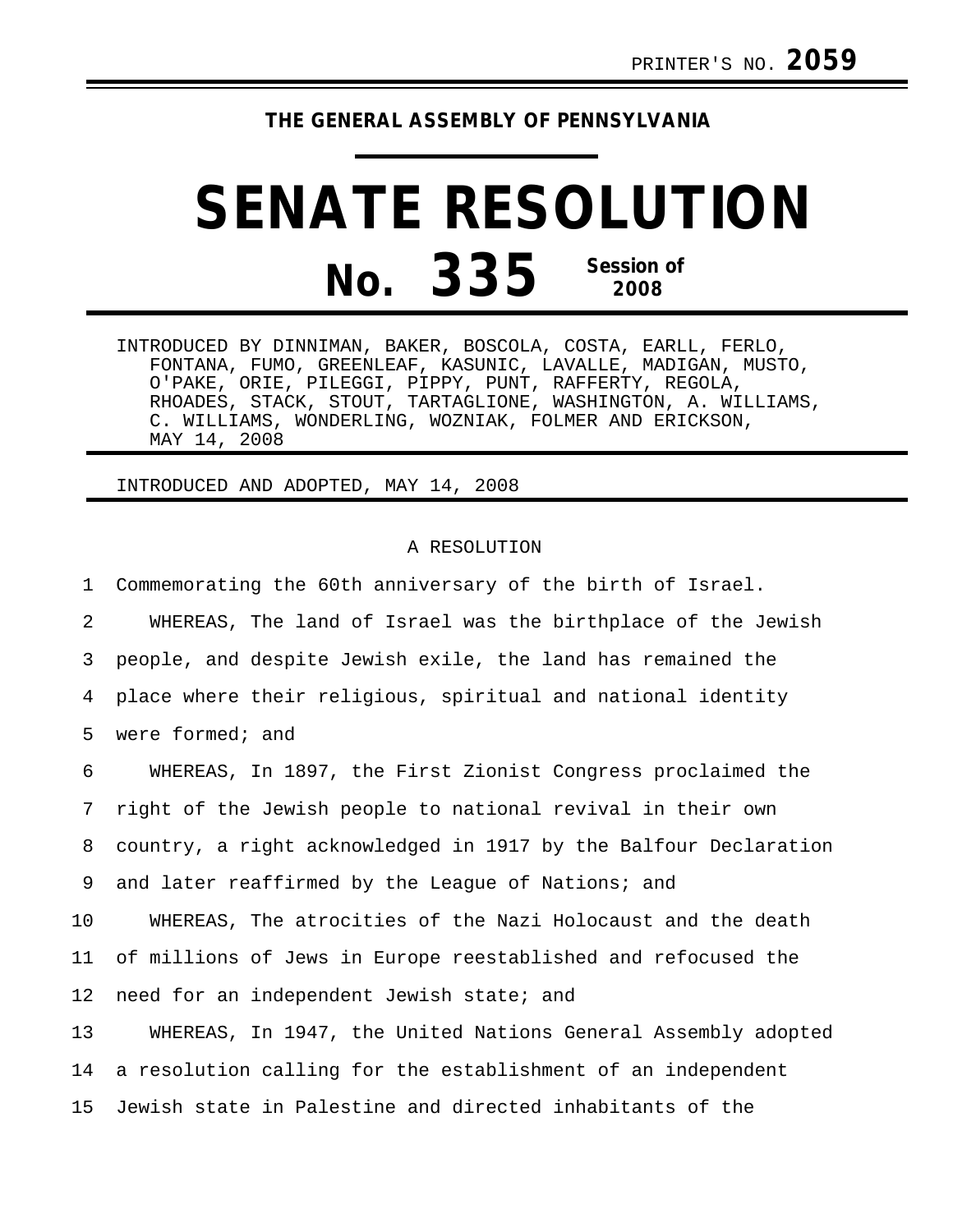## **THE GENERAL ASSEMBLY OF PENNSYLVANIA**

## **SENATE RESOLUTION No. 335 Session of 2008**

INTRODUCED BY DINNIMAN, BAKER, BOSCOLA, COSTA, EARLL, FERLO, FONTANA, FUMO, GREENLEAF, KASUNIC, LAVALLE, MADIGAN, MUSTO, O'PAKE, ORIE, PILEGGI, PIPPY, PUNT, RAFFERTY, REGOLA, RHOADES, STACK, STOUT, TARTAGLIONE, WASHINGTON, A. WILLIAMS, C. WILLIAMS, WONDERLING, WOZNIAK, FOLMER AND ERICKSON, MAY 14, 2008

INTRODUCED AND ADOPTED, MAY 14, 2008

## A RESOLUTION

1 Commemorating the 60th anniversary of the birth of Israel. 2 WHEREAS, The land of Israel was the birthplace of the Jewish 3 people, and despite Jewish exile, the land has remained the 4 place where their religious, spiritual and national identity 5 were formed; and 6 WHEREAS, In 1897, the First Zionist Congress proclaimed the 7 right of the Jewish people to national revival in their own 8 country, a right acknowledged in 1917 by the Balfour Declaration 9 and later reaffirmed by the League of Nations; and 10 WHEREAS, The atrocities of the Nazi Holocaust and the death 11 of millions of Jews in Europe reestablished and refocused the 12 need for an independent Jewish state; and 13 WHEREAS, In 1947, the United Nations General Assembly adopted 14 a resolution calling for the establishment of an independent 15 Jewish state in Palestine and directed inhabitants of the